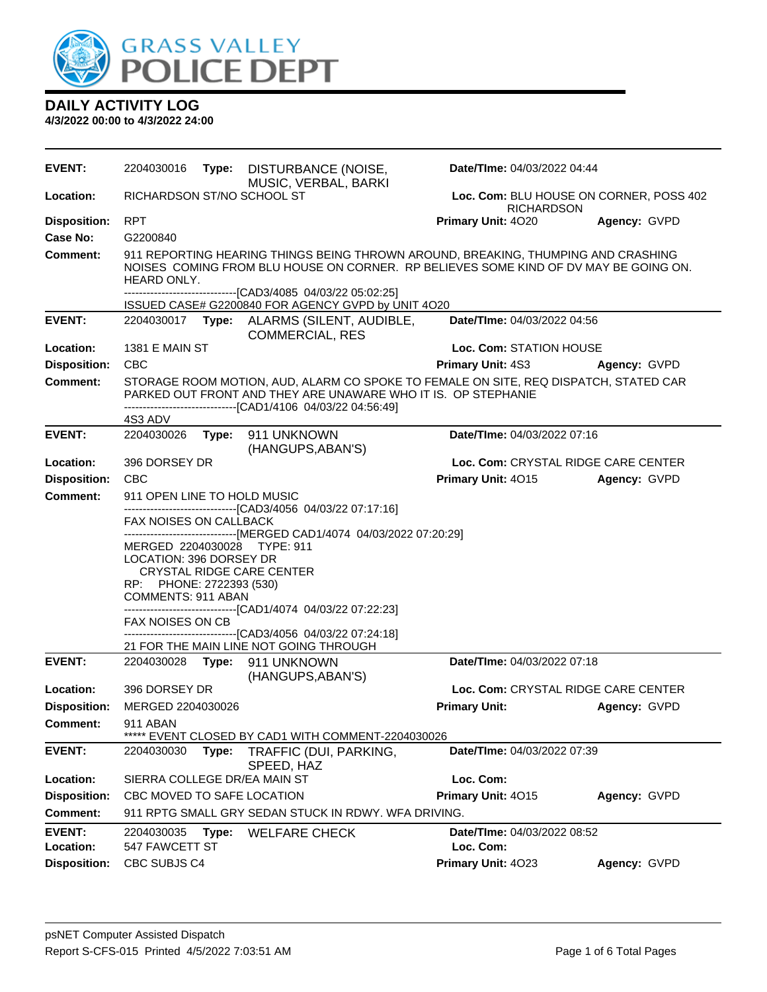

### **4/3/2022 00:00 to 4/3/2022 24:00**

| <b>EVENT:</b>              | 2204030016                                                                                                                                                                               | Type: | DISTURBANCE (NOISE,<br>MUSIC, VERBAL, BARKI                                                                                                                                                                           | Date/TIme: 04/03/2022 04:44                                  |              |
|----------------------------|------------------------------------------------------------------------------------------------------------------------------------------------------------------------------------------|-------|-----------------------------------------------------------------------------------------------------------------------------------------------------------------------------------------------------------------------|--------------------------------------------------------------|--------------|
| Location:                  | RICHARDSON ST/NO SCHOOL ST                                                                                                                                                               |       |                                                                                                                                                                                                                       | Loc. Com: BLU HOUSE ON CORNER, POSS 402<br><b>RICHARDSON</b> |              |
| <b>Disposition:</b>        | RPT                                                                                                                                                                                      |       |                                                                                                                                                                                                                       | Primary Unit: 4020                                           | Agency: GVPD |
| Case No:                   | G2200840                                                                                                                                                                                 |       |                                                                                                                                                                                                                       |                                                              |              |
| <b>Comment:</b>            | 911 REPORTING HEARING THINGS BEING THROWN AROUND, BREAKING, THUMPING AND CRASHING<br>NOISES COMING FROM BLU HOUSE ON CORNER. RP BELIEVES SOME KIND OF DV MAY BE GOING ON.<br>HEARD ONLY. |       |                                                                                                                                                                                                                       |                                                              |              |
|                            |                                                                                                                                                                                          |       | -------------------------------[CAD3/4085 04/03/22 05:02:25]<br>ISSUED CASE# G2200840 FOR AGENCY GVPD by UNIT 4O20                                                                                                    |                                                              |              |
| <b>EVENT:</b>              |                                                                                                                                                                                          |       | 2204030017 Type: ALARMS (SILENT, AUDIBLE,<br><b>COMMERCIAL, RES</b>                                                                                                                                                   | Date/TIme: 04/03/2022 04:56                                  |              |
| Location:                  | <b>1381 E MAIN ST</b>                                                                                                                                                                    |       |                                                                                                                                                                                                                       | Loc. Com: STATION HOUSE                                      |              |
| <b>Disposition:</b>        | <b>CBC</b>                                                                                                                                                                               |       |                                                                                                                                                                                                                       | <b>Primary Unit: 4S3</b>                                     | Agency: GVPD |
| <b>Comment:</b>            |                                                                                                                                                                                          |       | STORAGE ROOM MOTION, AUD, ALARM CO SPOKE TO FEMALE ON SITE, REQ DISPATCH, STATED CAR<br>PARKED OUT FRONT AND THEY ARE UNAWARE WHO IT IS. OP STEPHANIE<br>-------------------------------[CAD1/4106 04/03/22 04:56:49] |                                                              |              |
|                            | 4S3 ADV                                                                                                                                                                                  |       |                                                                                                                                                                                                                       |                                                              |              |
| <b>EVENT:</b>              |                                                                                                                                                                                          |       | 2204030026    Type: 911    UNKNOWN<br>(HANGUPS, ABAN'S)                                                                                                                                                               | Date/TIme: 04/03/2022 07:16                                  |              |
| Location:                  | 396 DORSEY DR                                                                                                                                                                            |       |                                                                                                                                                                                                                       | Loc. Com: CRYSTAL RIDGE CARE CENTER                          |              |
| <b>Disposition:</b>        | <b>CBC</b>                                                                                                                                                                               |       |                                                                                                                                                                                                                       | Primary Unit: 4015                                           | Agency: GVPD |
| <b>Comment:</b>            | 911 OPEN LINE TO HOLD MUSIC                                                                                                                                                              |       |                                                                                                                                                                                                                       |                                                              |              |
|                            | FAX NOISES ON CALLBACK                                                                                                                                                                   |       | --------------------------[CAD3/4056_04/03/22 07:17:16]                                                                                                                                                               |                                                              |              |
|                            |                                                                                                                                                                                          |       | -------------------------------[MERGED CAD1/4074 04/03/2022 07:20:29]                                                                                                                                                 |                                                              |              |
|                            | MERGED 2204030028 TYPE: 911                                                                                                                                                              |       |                                                                                                                                                                                                                       |                                                              |              |
|                            | LOCATION: 396 DORSEY DR                                                                                                                                                                  |       | CRYSTAL RIDGE CARE CENTER                                                                                                                                                                                             |                                                              |              |
|                            | RP: PHONE: 2722393 (530)                                                                                                                                                                 |       |                                                                                                                                                                                                                       |                                                              |              |
|                            | COMMENTS: 911 ABAN                                                                                                                                                                       |       | ------------------------------[CAD1/4074 04/03/22 07:22:23]                                                                                                                                                           |                                                              |              |
|                            | FAX NOISES ON CB                                                                                                                                                                         |       |                                                                                                                                                                                                                       |                                                              |              |
|                            |                                                                                                                                                                                          |       | -------------------------------[CAD3/4056_04/03/22_07:24:18]<br>21 FOR THE MAIN LINE NOT GOING THROUGH                                                                                                                |                                                              |              |
| <b>EVENT:</b>              |                                                                                                                                                                                          |       | 2204030028 Type: 911 UNKNOWN                                                                                                                                                                                          | Date/TIme: 04/03/2022 07:18                                  |              |
|                            |                                                                                                                                                                                          |       | (HANGUPS, ABAN'S)                                                                                                                                                                                                     |                                                              |              |
| Location:                  | 396 DORSEY DR                                                                                                                                                                            |       |                                                                                                                                                                                                                       | Loc. Com: CRYSTAL RIDGE CARE CENTER                          |              |
|                            | Disposition: MERGED 2204030026                                                                                                                                                           |       |                                                                                                                                                                                                                       | <b>Primary Unit:</b>                                         | Agency: GVPD |
| <b>Comment:</b>            | 911 ABAN                                                                                                                                                                                 |       | EVENT CLOSED BY CAD1 WITH COMMENT-2204030026                                                                                                                                                                          |                                                              |              |
| <b>EVENT:</b>              | 2204030030                                                                                                                                                                               | Type: | TRAFFIC (DUI, PARKING,                                                                                                                                                                                                | Date/TIme: 04/03/2022 07:39                                  |              |
|                            |                                                                                                                                                                                          |       | SPEED, HAZ                                                                                                                                                                                                            |                                                              |              |
| Location:                  | SIERRA COLLEGE DR/EA MAIN ST                                                                                                                                                             |       |                                                                                                                                                                                                                       | Loc. Com:                                                    |              |
| <b>Disposition:</b>        | CBC MOVED TO SAFE LOCATION                                                                                                                                                               |       |                                                                                                                                                                                                                       | Primary Unit: 4015                                           | Agency: GVPD |
| Comment:                   |                                                                                                                                                                                          |       | 911 RPTG SMALL GRY SEDAN STUCK IN RDWY. WFA DRIVING.                                                                                                                                                                  |                                                              |              |
| <b>EVENT:</b><br>Location: | 2204030035<br>547 FAWCETT ST                                                                                                                                                             | Type: | <b>WELFARE CHECK</b>                                                                                                                                                                                                  | Date/TIme: 04/03/2022 08:52<br>Loc. Com:                     |              |
| <b>Disposition:</b>        | CBC SUBJS C4                                                                                                                                                                             |       |                                                                                                                                                                                                                       | Primary Unit: 4023                                           | Agency: GVPD |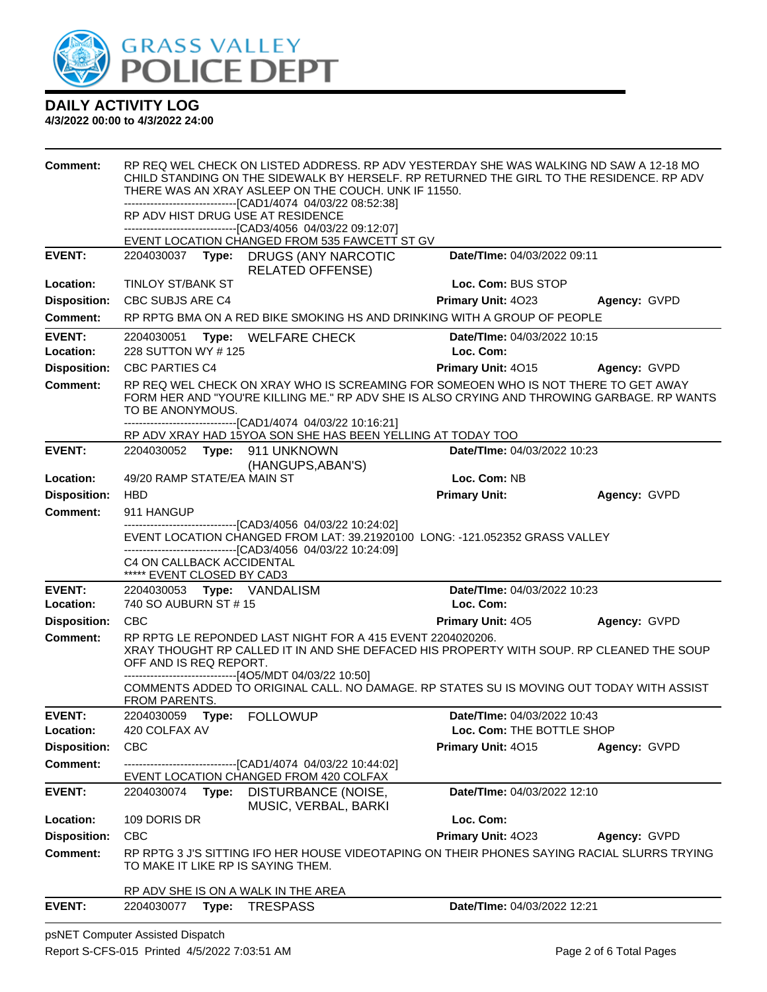

### **4/3/2022 00:00 to 4/3/2022 24:00**

| <b>Comment:</b>                  |                                                         | RP REQ WEL CHECK ON LISTED ADDRESS. RP ADV YESTERDAY SHE WAS WALKING ND SAW A 12-18 MO<br>CHILD STANDING ON THE SIDEWALK BY HERSELF. RP RETURNED THE GIRL TO THE RESIDENCE. RP ADV<br>THERE WAS AN XRAY ASLEEP ON THE COUCH. UNK IF 11550.<br>-------------------------------[CAD1/4074_04/03/22_08:52:38]<br>RP ADV HIST DRUG USE AT RESIDENCE<br>-------------------------------[CAD3/4056_04/03/22_09:12:07]<br>EVENT LOCATION CHANGED FROM 535 FAWCETT ST GV |                             |              |
|----------------------------------|---------------------------------------------------------|------------------------------------------------------------------------------------------------------------------------------------------------------------------------------------------------------------------------------------------------------------------------------------------------------------------------------------------------------------------------------------------------------------------------------------------------------------------|-----------------------------|--------------|
| <b>EVENT:</b>                    |                                                         | 2204030037 Type: DRUGS (ANY NARCOTIC                                                                                                                                                                                                                                                                                                                                                                                                                             | Date/TIme: 04/03/2022 09:11 |              |
|                                  |                                                         | <b>RELATED OFFENSE)</b>                                                                                                                                                                                                                                                                                                                                                                                                                                          |                             |              |
| Location:<br><b>Disposition:</b> | <b>TINLOY ST/BANK ST</b>                                |                                                                                                                                                                                                                                                                                                                                                                                                                                                                  | Loc. Com: BUS STOP          |              |
| <b>Comment:</b>                  | CBC SUBJS ARE C4                                        | RP RPTG BMA ON A RED BIKE SMOKING HS AND DRINKING WITH A GROUP OF PEOPLE                                                                                                                                                                                                                                                                                                                                                                                         | Primary Unit: 4023          | Agency: GVPD |
| <b>EVENT:</b>                    | 2204030051                                              |                                                                                                                                                                                                                                                                                                                                                                                                                                                                  | Date/TIme: 04/03/2022 10:15 |              |
| Location:                        | Type:<br>228 SUTTON WY # 125                            | <b>WELFARE CHECK</b>                                                                                                                                                                                                                                                                                                                                                                                                                                             | Loc. Com:                   |              |
| <b>Disposition:</b>              | <b>CBC PARTIES C4</b>                                   |                                                                                                                                                                                                                                                                                                                                                                                                                                                                  | <b>Primary Unit: 4015</b>   | Agency: GVPD |
| <b>Comment:</b>                  | TO BE ANONYMOUS.                                        | RP REQ WEL CHECK ON XRAY WHO IS SCREAMING FOR SOMEOEN WHO IS NOT THERE TO GET AWAY<br>FORM HER AND "YOU'RE KILLING ME." RP ADV SHE IS ALSO CRYING AND THROWING GARBAGE. RP WANTS<br>--------------------------------[CAD1/4074 04/03/22 10:16:21]                                                                                                                                                                                                                |                             |              |
|                                  |                                                         | RP ADV XRAY HAD 15YOA SON SHE HAS BEEN YELLING AT TODAY TOO                                                                                                                                                                                                                                                                                                                                                                                                      |                             |              |
| <b>EVENT:</b>                    | 2204030052 Type: 911 UNKNOWN                            | (HANGUPS, ABAN'S)                                                                                                                                                                                                                                                                                                                                                                                                                                                | Date/TIme: 04/03/2022 10:23 |              |
| Location:                        | 49/20 RAMP STATE/EA MAIN ST                             |                                                                                                                                                                                                                                                                                                                                                                                                                                                                  | Loc. Com: NB                |              |
| <b>Disposition:</b>              | <b>HBD</b>                                              |                                                                                                                                                                                                                                                                                                                                                                                                                                                                  | <b>Primary Unit:</b>        | Agency: GVPD |
| <b>Comment:</b>                  | 911 HANGUP                                              | ------------------------[CAD3/4056 04/03/22 10:24:02]                                                                                                                                                                                                                                                                                                                                                                                                            |                             |              |
|                                  | C4 ON CALLBACK ACCIDENTAL<br>***** EVENT CLOSED BY CAD3 | EVENT LOCATION CHANGED FROM LAT: 39.21920100 LONG: -121.052352 GRASS VALLEY<br>-------------------------------[CAD3/4056 04/03/22 10:24:09]                                                                                                                                                                                                                                                                                                                      |                             |              |
| <b>EVENT:</b>                    | 2204030053 Type: VANDALISM                              |                                                                                                                                                                                                                                                                                                                                                                                                                                                                  | Date/TIme: 04/03/2022 10:23 |              |
| Location:                        | 740 SO AUBURN ST # 15                                   |                                                                                                                                                                                                                                                                                                                                                                                                                                                                  | Loc. Com:                   |              |
| <b>Disposition:</b>              | <b>CBC</b>                                              |                                                                                                                                                                                                                                                                                                                                                                                                                                                                  | <b>Primary Unit: 405</b>    | Agency: GVPD |
| <b>Comment:</b>                  | OFF AND IS REQ REPORT.                                  | RP RPTG LE REPONDED LAST NIGHT FOR A 415 EVENT 2204020206.<br>XRAY THOUGHT RP CALLED IT IN AND SHE DEFACED HIS PROPERTY WITH SOUP. RP CLEANED THE SOUP<br>-------------------------------[4O5/MDT 04/03/22 10:50]<br>COMMENTS ADDED TO ORIGINAL CALL. NO DAMAGE. RP STATES SU IS MOVING OUT TODAY WITH ASSIST                                                                                                                                                    |                             |              |
|                                  | FROM PARENTS.                                           |                                                                                                                                                                                                                                                                                                                                                                                                                                                                  |                             |              |
| <b>EVENT:</b>                    | 2204030059 Type: FOLLOWUP                               |                                                                                                                                                                                                                                                                                                                                                                                                                                                                  | Date/TIme: 04/03/2022 10:43 |              |
| Location:<br><b>Disposition:</b> | 420 COLFAX AV<br><b>CBC</b>                             |                                                                                                                                                                                                                                                                                                                                                                                                                                                                  | Loc. Com: THE BOTTLE SHOP   |              |
| <b>Comment:</b>                  |                                                         | --------------------------------[CAD1/4074 04/03/22 10:44:02]                                                                                                                                                                                                                                                                                                                                                                                                    | Primary Unit: 4015          | Agency: GVPD |
|                                  |                                                         | EVENT LOCATION CHANGED FROM 420 COLFAX                                                                                                                                                                                                                                                                                                                                                                                                                           |                             |              |
| <b>EVENT:</b>                    |                                                         | 2204030074 Type: DISTURBANCE (NOISE,<br>MUSIC, VERBAL, BARKI                                                                                                                                                                                                                                                                                                                                                                                                     | Date/TIme: 04/03/2022 12:10 |              |
| Location:                        | 109 DORIS DR                                            |                                                                                                                                                                                                                                                                                                                                                                                                                                                                  | Loc. Com:                   |              |
| <b>Disposition:</b>              | <b>CBC</b>                                              |                                                                                                                                                                                                                                                                                                                                                                                                                                                                  | Primary Unit: 4023          | Agency: GVPD |
| <b>Comment:</b>                  | TO MAKE IT LIKE RP IS SAYING THEM.                      | RP RPTG 3 J'S SITTING IFO HER HOUSE VIDEOTAPING ON THEIR PHONES SAYING RACIAL SLURRS TRYING                                                                                                                                                                                                                                                                                                                                                                      |                             |              |
|                                  |                                                         | RP ADV SHE IS ON A WALK IN THE AREA                                                                                                                                                                                                                                                                                                                                                                                                                              |                             |              |
| <b>EVENT:</b>                    | 2204030077 Type:                                        | <b>TRESPASS</b>                                                                                                                                                                                                                                                                                                                                                                                                                                                  | Date/TIme: 04/03/2022 12:21 |              |

psNET Computer Assisted Dispatch Report S-CFS-015 Printed 4/5/2022 7:03:51 AM Page 2 of 6 Total Pages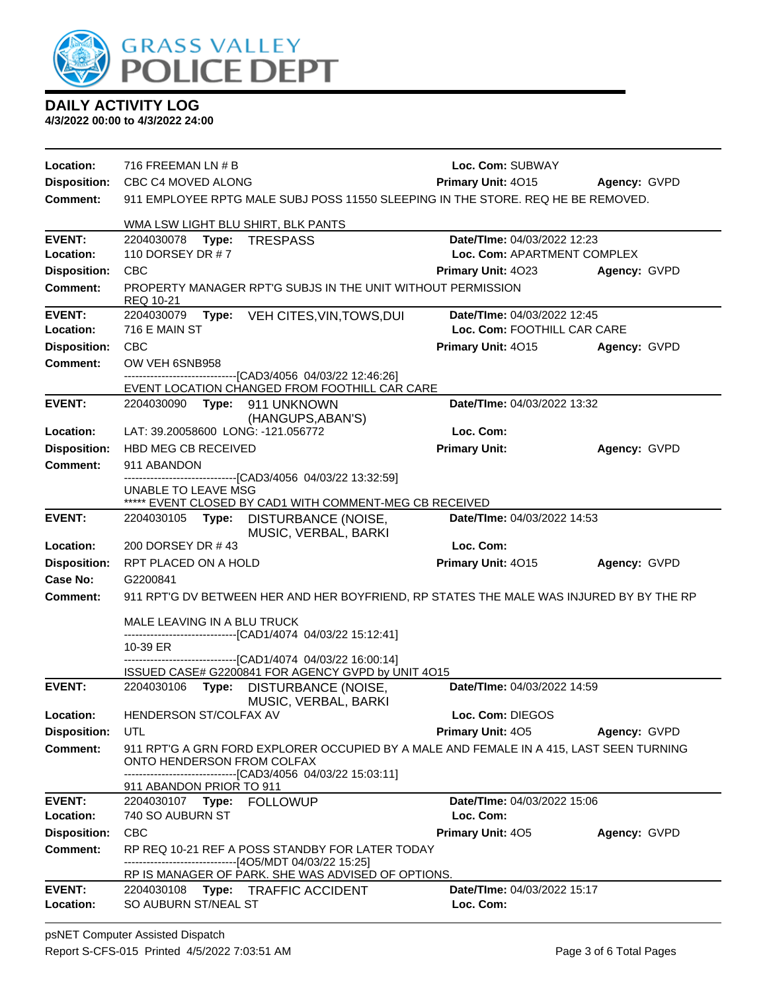

|  | <b>DAILY ACTIVITY LOG</b> |
|--|---------------------------|
|  | .                         |

**4/3/2022 00:00 to 4/3/2022 24:00**

| Location:                  | 716 FREEMAN LN # B                                                                                             | Loc. Com: SUBWAY                         |              |  |
|----------------------------|----------------------------------------------------------------------------------------------------------------|------------------------------------------|--------------|--|
|                            | Disposition: CBC C4 MOVED ALONG                                                                                | Primary Unit: 4015<br>Agency: GVPD       |              |  |
| Comment:                   | 911 EMPLOYEE RPTG MALE SUBJ POSS 11550 SLEEPING IN THE STORE. REQ HE BE REMOVED.                               |                                          |              |  |
|                            | WMA LSW LIGHT BLU SHIRT, BLK PANTS                                                                             |                                          |              |  |
| <b>EVENT:</b>              | 2204030078    Type: TRESPASS                                                                                   | Date/TIme: 04/03/2022 12:23              |              |  |
| Location:                  | 110 DORSEY DR #7                                                                                               | Loc. Com: APARTMENT COMPLEX              |              |  |
| <b>Disposition:</b>        | <b>CBC</b>                                                                                                     | <b>Primary Unit: 4023</b>                | Agency: GVPD |  |
| <b>Comment:</b>            | PROPERTY MANAGER RPT'G SUBJS IN THE UNIT WITHOUT PERMISSION<br>REQ 10-21                                       |                                          |              |  |
| <b>EVENT:</b>              | Type: VEH CITES, VIN, TOWS, DUI<br>2204030079                                                                  | Date/TIme: 04/03/2022 12:45              |              |  |
| Location:                  | 716 E MAIN ST                                                                                                  | Loc. Com: FOOTHILL CAR CARE              |              |  |
| <b>Disposition:</b>        | CBC                                                                                                            | <b>Primary Unit: 4015</b>                | Agency: GVPD |  |
| <b>Comment:</b>            | OW VEH 6SNB958                                                                                                 |                                          |              |  |
|                            | --------------------------------[CAD3/4056 04/03/22 12:46:26]<br>EVENT LOCATION CHANGED FROM FOOTHILL CAR CARE |                                          |              |  |
| <b>EVENT:</b>              | 2204030090 Type: 911 UNKNOWN                                                                                   | Date/TIme: 04/03/2022 13:32              |              |  |
|                            | (HANGUPS, ABAN'S)                                                                                              |                                          |              |  |
| Location:                  | LAT: 39.20058600 LONG: -121.056772                                                                             | Loc. Com:                                |              |  |
| <b>Disposition:</b>        | HBD MEG CB RECEIVED                                                                                            | <b>Primary Unit:</b>                     | Agency: GVPD |  |
| <b>Comment:</b>            | 911 ABANDON                                                                                                    |                                          |              |  |
|                            | --------------------------------[CAD3/4056 04/03/22 13:32:59]                                                  |                                          |              |  |
|                            | UNABLE TO LEAVE MSG<br>***** EVENT CLOSED BY CAD1 WITH COMMENT-MEG CB RECEIVED                                 |                                          |              |  |
| <b>EVENT:</b>              | 2204030105 Type: DISTURBANCE (NOISE,                                                                           | Date/TIme: 04/03/2022 14:53              |              |  |
|                            | MUSIC, VERBAL, BARKI                                                                                           |                                          |              |  |
| Location:                  | 200 DORSEY DR #43                                                                                              | Loc. Com:                                |              |  |
| <b>Disposition:</b>        | RPT PLACED ON A HOLD                                                                                           | Primary Unit: 4015                       | Agency: GVPD |  |
| <b>Case No:</b>            | G2200841                                                                                                       |                                          |              |  |
| <b>Comment:</b>            | 911 RPT'G DV BETWEEN HER AND HER BOYFRIEND, RP STATES THE MALE WAS INJURED BY BY THE RP                        |                                          |              |  |
|                            | MALE LEAVING IN A BLU TRUCK                                                                                    |                                          |              |  |
|                            | ------------------------------[CAD1/4074 04/03/22 15:12:41]                                                    |                                          |              |  |
|                            | 10-39 ER<br>-------------------------------[CAD1/4074 04/03/22 16:00:14]                                       |                                          |              |  |
|                            | ISSUED CASE# G2200841 FOR AGENCY GVPD by UNIT 4O15                                                             |                                          |              |  |
| <b>EVENT:</b>              | 2204030106 Type: DISTURBANCE (NOISE,<br>MUSIC, VERBAL, BARKI                                                   | Date/TIme: 04/03/2022 14:59              |              |  |
| Location:                  | HENDERSON ST/COLFAX AV                                                                                         | Loc. Com: DIEGOS                         |              |  |
| <b>Disposition:</b>        | UTL                                                                                                            | Primary Unit: 405                        | Agency: GVPD |  |
| <b>Comment:</b>            | 911 RPT'G A GRN FORD EXPLORER OCCUPIED BY A MALE AND FEMALE IN A 415, LAST SEEN TURNING                        |                                          |              |  |
|                            | ONTO HENDERSON FROM COLFAX                                                                                     |                                          |              |  |
|                            | --------------------------------[CAD3/4056 04/03/22 15:03:11]<br>911 ABANDON PRIOR TO 911                      |                                          |              |  |
| <b>EVENT:</b>              | 2204030107 Type: FOLLOWUP                                                                                      | Date/TIme: 04/03/2022 15:06              |              |  |
| Location:                  | 740 SO AUBURN ST                                                                                               | Loc. Com:                                |              |  |
| <b>Disposition:</b>        | <b>CBC</b>                                                                                                     | Primary Unit: 405                        | Agency: GVPD |  |
| <b>Comment:</b>            | RP REQ 10-21 REF A POSS STANDBY FOR LATER TODAY                                                                |                                          |              |  |
|                            | -------------------------------[4O5/MDT 04/03/22 15:25]                                                        |                                          |              |  |
|                            | RP IS MANAGER OF PARK. SHE WAS ADVISED OF OPTIONS.                                                             |                                          |              |  |
| <b>EVENT:</b><br>Location: | 2204030108 Type: TRAFFIC ACCIDENT<br>SO AUBURN ST/NEAL ST                                                      | Date/TIme: 04/03/2022 15:17<br>Loc. Com: |              |  |
|                            |                                                                                                                |                                          |              |  |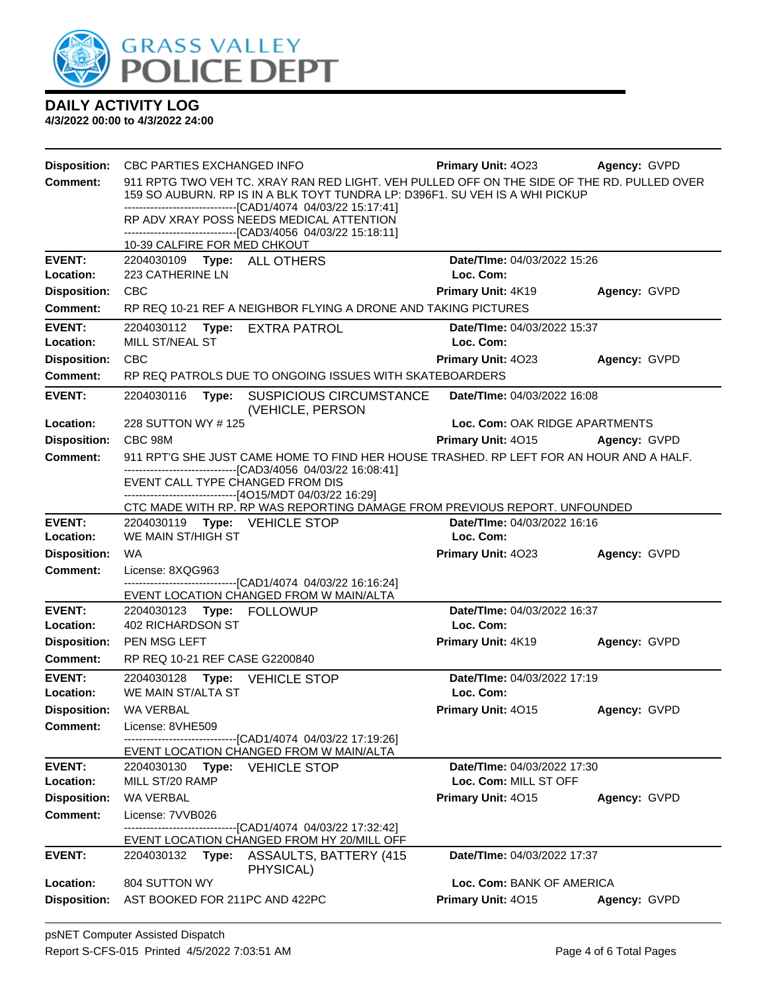

**4/3/2022 00:00 to 4/3/2022 24:00**

| <b>Disposition:</b>        | CBC PARTIES EXCHANGED INFO                                                                                                                                                 | <b>Primary Unit: 4023</b>              | Agency: GVPD |  |  |
|----------------------------|----------------------------------------------------------------------------------------------------------------------------------------------------------------------------|----------------------------------------|--------------|--|--|
| <b>Comment:</b>            | 911 RPTG TWO VEH TC. XRAY RAN RED LIGHT. VEH PULLED OFF ON THE SIDE OF THE RD. PULLED OVER<br>159 SO AUBURN. RP IS IN A BLK TOYT TUNDRA LP: D396F1. SU VEH IS A WHI PICKUP |                                        |              |  |  |
|                            | -------------------------------[CAD1/4074 04/03/22 15:17:41]<br>RP ADV XRAY POSS NEEDS MEDICAL ATTENTION                                                                   |                                        |              |  |  |
|                            | --------------------------------[CAD3/4056 04/03/22 15:18:11]<br>10-39 CALFIRE FOR MED CHKOUT                                                                              |                                        |              |  |  |
| <b>EVENT:</b><br>Location: | Date/TIme: 04/03/2022 15:26<br>2204030109    Type: ALL OTHERS<br>223 CATHERINE LN<br>Loc. Com:                                                                             |                                        |              |  |  |
| <b>Disposition:</b>        | <b>CBC</b>                                                                                                                                                                 | <b>Primary Unit: 4K19</b>              | Agency: GVPD |  |  |
| <b>Comment:</b>            | RP REQ 10-21 REF A NEIGHBOR FLYING A DRONE AND TAKING PICTURES                                                                                                             |                                        |              |  |  |
| <b>EVENT:</b>              | 2204030112 Type: EXTRA PATROL                                                                                                                                              | Date/TIme: 04/03/2022 15:37            |              |  |  |
| Location:                  | MILL ST/NEAL ST                                                                                                                                                            | Loc. Com:                              |              |  |  |
| <b>Disposition:</b>        | <b>CBC</b>                                                                                                                                                                 | <b>Primary Unit: 4023</b>              | Agency: GVPD |  |  |
| <b>Comment:</b>            | RP REQ PATROLS DUE TO ONGOING ISSUES WITH SKATEBOARDERS                                                                                                                    |                                        |              |  |  |
| <b>EVENT:</b>              | 2204030116<br>Type: SUSPICIOUS CIRCUMSTANCE<br>(VEHICLE, PERSON                                                                                                            | Date/TIme: 04/03/2022 16:08            |              |  |  |
| Location:                  | 228 SUTTON WY #125                                                                                                                                                         | Loc. Com: OAK RIDGE APARTMENTS         |              |  |  |
| <b>Disposition:</b>        | CBC 98M                                                                                                                                                                    | <b>Primary Unit: 4015 Agency: GVPD</b> |              |  |  |
| <b>Comment:</b>            | 911 RPT'G SHE JUST CAME HOME TO FIND HER HOUSE TRASHED. RP LEFT FOR AN HOUR AND A HALF.<br>---------------------------------[CAD3/4056 04/03/22 16:08:41]                  |                                        |              |  |  |
|                            | EVENT CALL TYPE CHANGED FROM DIS                                                                                                                                           |                                        |              |  |  |
|                            | ------------------------------[4O15/MDT 04/03/22 16:29]<br>CTC MADE WITH RP. RP WAS REPORTING DAMAGE FROM PREVIOUS REPORT. UNFOUNDED                                       |                                        |              |  |  |
| <b>EVENT:</b>              | 2204030119 Type: VEHICLE STOP                                                                                                                                              | Date/TIme: 04/03/2022 16:16            |              |  |  |
| Location:                  | WE MAIN ST/HIGH ST<br>Loc. Com:                                                                                                                                            |                                        |              |  |  |
| <b>Disposition:</b>        | <b>WA</b>                                                                                                                                                                  | Primary Unit: 4023                     | Agency: GVPD |  |  |
| <b>Comment:</b>            | License: 8XQG963                                                                                                                                                           |                                        |              |  |  |
|                            | -------------------------------[CAD1/4074 04/03/22 16:16:24]<br>EVENT LOCATION CHANGED FROM W MAIN/ALTA                                                                    |                                        |              |  |  |
| <b>EVENT:</b>              |                                                                                                                                                                            | Date/TIme: 04/03/2022 16:37            |              |  |  |
| Location:                  | <b>402 RICHARDSON ST</b>                                                                                                                                                   | Loc. Com:                              |              |  |  |
| <b>Disposition:</b>        | PEN MSG LEFT                                                                                                                                                               | Primary Unit: 4K19                     | Agency: GVPD |  |  |
| <b>Comment:</b>            | RP REQ 10-21 REF CASE G2200840                                                                                                                                             |                                        |              |  |  |
| <b>EVENT:</b>              | Date/TIme: 04/03/2022 17:19<br>2204030128 Type: VEHICLE STOP                                                                                                               |                                        |              |  |  |
| Location:                  | WE MAIN ST/ALTA ST                                                                                                                                                         | Loc. Com:                              |              |  |  |
| <b>Disposition:</b>        | <b>WA VERBAL</b>                                                                                                                                                           | Primary Unit: 4015                     | Agency: GVPD |  |  |
| <b>Comment:</b>            | License: 8VHE509                                                                                                                                                           |                                        |              |  |  |
|                            | --------[CAD1/4074_04/03/22 17:19:26]<br>EVENT LOCATION CHANGED FROM W MAIN/ALTA                                                                                           |                                        |              |  |  |
| <b>EVENT:</b>              | 2204030130<br>Type:<br><b>VEHICLE STOP</b>                                                                                                                                 | Date/TIme: 04/03/2022 17:30            |              |  |  |
| Location:                  | MILL ST/20 RAMP<br>Loc. Com: MILL ST OFF                                                                                                                                   |                                        |              |  |  |
| <b>Disposition:</b>        | WA VERBAL                                                                                                                                                                  | Primary Unit: 4015                     | Agency: GVPD |  |  |
| <b>Comment:</b>            | License: 7VVB026                                                                                                                                                           |                                        |              |  |  |
|                            | ---[CAD1/4074_04/03/22 17:32:42]<br>EVENT LOCATION CHANGED FROM HY 20/MILL OFF                                                                                             |                                        |              |  |  |
| <b>EVENT:</b>              | Date/TIme: 04/03/2022 17:37<br>2204030132<br>Type:<br>ASSAULTS, BATTERY (415)<br>PHYSICAL)                                                                                 |                                        |              |  |  |
| Location:                  | 804 SUTTON WY                                                                                                                                                              | Loc. Com: BANK OF AMERICA              |              |  |  |
| <b>Disposition:</b>        | AST BOOKED FOR 211PC AND 422PC                                                                                                                                             | Primary Unit: 4015                     | Agency: GVPD |  |  |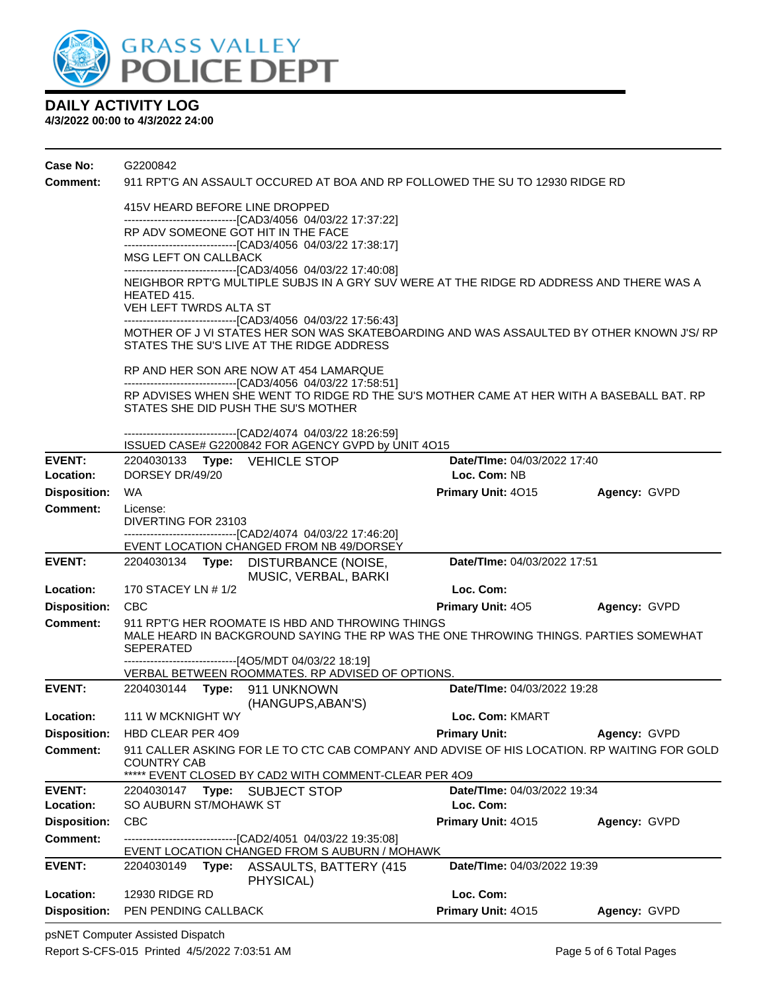

### **4/3/2022 00:00 to 4/3/2022 24:00**

| Case No:            | G2200842                                                                                          |                                                                                                                                                         |                                                                                                                  |                                                                                             |              |  |  |
|---------------------|---------------------------------------------------------------------------------------------------|---------------------------------------------------------------------------------------------------------------------------------------------------------|------------------------------------------------------------------------------------------------------------------|---------------------------------------------------------------------------------------------|--------------|--|--|
| <b>Comment:</b>     | 911 RPT'G AN ASSAULT OCCURED AT BOA AND RP FOLLOWED THE SU TO 12930 RIDGE RD                      |                                                                                                                                                         |                                                                                                                  |                                                                                             |              |  |  |
|                     | 415V HEARD BEFORE LINE DROPPED                                                                    |                                                                                                                                                         |                                                                                                                  |                                                                                             |              |  |  |
|                     | ------------------------------[CAD3/4056 04/03/22 17:37:22]<br>RP ADV SOMEONE GOT HIT IN THE FACE |                                                                                                                                                         |                                                                                                                  |                                                                                             |              |  |  |
|                     |                                                                                                   |                                                                                                                                                         | -------------------------------[CAD3/4056 04/03/22 17:38:17]                                                     |                                                                                             |              |  |  |
|                     | MSG LEFT ON CALLBACK                                                                              |                                                                                                                                                         |                                                                                                                  |                                                                                             |              |  |  |
|                     | HEATED 415.                                                                                       | -------------------------------[CAD3/4056 04/03/22 17:40:08]<br>NEIGHBOR RPT'G MULTIPLE SUBJS IN A GRY SUV WERE AT THE RIDGE RD ADDRESS AND THERE WAS A |                                                                                                                  |                                                                                             |              |  |  |
|                     |                                                                                                   | VEH LEFT TWRDS ALTA ST                                                                                                                                  |                                                                                                                  |                                                                                             |              |  |  |
|                     |                                                                                                   |                                                                                                                                                         | -------------------------------[CAD3/4056 04/03/22 17:56:43]<br>STATES THE SU'S LIVE AT THE RIDGE ADDRESS        | MOTHER OF J VI STATES HER SON WAS SKATEBOARDING AND WAS ASSAULTED BY OTHER KNOWN J'S/ RP    |              |  |  |
|                     |                                                                                                   |                                                                                                                                                         | RP AND HER SON ARE NOW AT 454 LAMARQUE                                                                           |                                                                                             |              |  |  |
|                     |                                                                                                   |                                                                                                                                                         | -------------------------------[CAD3/4056 04/03/22 17:58:51]                                                     |                                                                                             |              |  |  |
|                     |                                                                                                   | RP ADVISES WHEN SHE WENT TO RIDGE RD THE SU'S MOTHER CAME AT HER WITH A BASEBALL BAT. RP<br>STATES SHE DID PUSH THE SU'S MOTHER                         |                                                                                                                  |                                                                                             |              |  |  |
|                     |                                                                                                   |                                                                                                                                                         | -------------------------------[CAD2/4074 04/03/22 18:26:59]                                                     |                                                                                             |              |  |  |
| <b>EVENT:</b>       |                                                                                                   |                                                                                                                                                         | ISSUED CASE# G2200842 FOR AGENCY GVPD by UNIT 4O15                                                               | Date/TIme: 04/03/2022 17:40                                                                 |              |  |  |
| Location:           | DORSEY DR/49/20                                                                                   |                                                                                                                                                         | 2204030133 Type: VEHICLE STOP                                                                                    | Loc. Com: NB                                                                                |              |  |  |
| <b>Disposition:</b> | WA                                                                                                |                                                                                                                                                         |                                                                                                                  | Primary Unit: 4015                                                                          | Agency: GVPD |  |  |
| <b>Comment:</b>     | License:                                                                                          |                                                                                                                                                         |                                                                                                                  |                                                                                             |              |  |  |
|                     | DIVERTING FOR 23103<br>------------------------------[CAD2/4074 04/03/22 17:46:20]                |                                                                                                                                                         |                                                                                                                  |                                                                                             |              |  |  |
|                     |                                                                                                   |                                                                                                                                                         | EVENT LOCATION CHANGED FROM NB 49/DORSEY                                                                         |                                                                                             |              |  |  |
| <b>EVENT:</b>       |                                                                                                   |                                                                                                                                                         | 2204030134 Type: DISTURBANCE (NOISE,<br>MUSIC, VERBAL, BARKI                                                     | Date/TIme: 04/03/2022 17:51                                                                 |              |  |  |
| Location:           | 170 STACEY LN # 1/2                                                                               |                                                                                                                                                         |                                                                                                                  | Loc. Com:                                                                                   |              |  |  |
| <b>Disposition:</b> | <b>CBC</b>                                                                                        |                                                                                                                                                         |                                                                                                                  | <b>Primary Unit: 405</b>                                                                    | Agency: GVPD |  |  |
| <b>Comment:</b>     | <b>SEPERATED</b>                                                                                  |                                                                                                                                                         | 911 RPT'G HER ROOMATE IS HBD AND THROWING THINGS                                                                 | MALE HEARD IN BACKGROUND SAYING THE RP WAS THE ONE THROWING THINGS. PARTIES SOMEWHAT        |              |  |  |
|                     |                                                                                                   |                                                                                                                                                         | -------------------------------[4O5/MDT 04/03/22 18:19]<br>VERBAL BETWEEN ROOMMATES. RP ADVISED OF OPTIONS.      |                                                                                             |              |  |  |
| <b>EVENT:</b>       |                                                                                                   |                                                                                                                                                         | 2204030144 Type: 911 UNKNOWN<br>(HANGUPS, ABAN'S)                                                                | Date/TIme: 04/03/2022 19:28                                                                 |              |  |  |
| Location:           | 111 W MCKNIGHT WY                                                                                 |                                                                                                                                                         |                                                                                                                  | Loc. Com: KMART                                                                             |              |  |  |
| <b>Disposition:</b> | HBD CLEAR PER 409                                                                                 |                                                                                                                                                         |                                                                                                                  | <b>Primary Unit:</b>                                                                        | Agency: GVPD |  |  |
| Comment:            | <b>COUNTRY CAB</b>                                                                                |                                                                                                                                                         | ***** EVENT CLOSED BY CAD2 WITH COMMENT-CLEAR PER 409                                                            | 911 CALLER ASKING FOR LE TO CTC CAB COMPANY AND ADVISE OF HIS LOCATION. RP WAITING FOR GOLD |              |  |  |
| EVENT:              |                                                                                                   |                                                                                                                                                         | 2204030147 Type: SUBJECT STOP                                                                                    | Date/TIme: 04/03/2022 19:34                                                                 |              |  |  |
| Location:           | SO AUBURN ST/MOHAWK ST                                                                            |                                                                                                                                                         |                                                                                                                  | Loc. Com:                                                                                   |              |  |  |
| <b>Disposition:</b> | <b>CBC</b>                                                                                        |                                                                                                                                                         |                                                                                                                  | Primary Unit: 4015                                                                          | Agency: GVPD |  |  |
| <b>Comment:</b>     |                                                                                                   |                                                                                                                                                         | ----------------------------------[CAD2/4051 04/03/22 19:35:08]<br>EVENT LOCATION CHANGED FROM S AUBURN / MOHAWK |                                                                                             |              |  |  |
| <b>EVENT:</b>       | 2204030149                                                                                        | Type:                                                                                                                                                   | <b>ASSAULTS, BATTERY (415)</b><br>PHYSICAL)                                                                      | Date/TIme: 04/03/2022 19:39                                                                 |              |  |  |
| Location:           | <b>12930 RIDGE RD</b>                                                                             |                                                                                                                                                         |                                                                                                                  | Loc. Com:                                                                                   |              |  |  |
| <b>Disposition:</b> | PEN PENDING CALLBACK                                                                              |                                                                                                                                                         |                                                                                                                  | Primary Unit: 4015                                                                          | Agency: GVPD |  |  |

psNET Computer Assisted Dispatch Report S-CFS-015 Printed 4/5/2022 7:03:51 AM Page 5 of 6 Total Pages